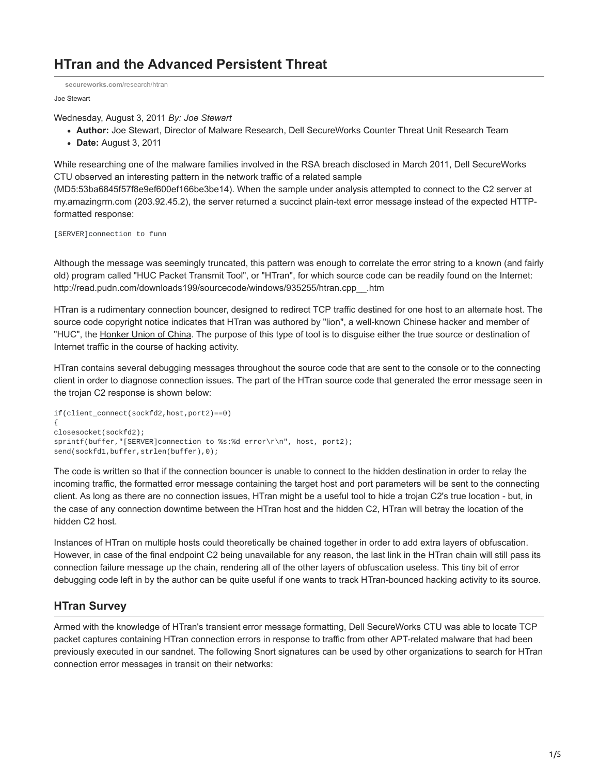## **HTran and the Advanced Persistent Threat**

**[secureworks.com](https://www.secureworks.com/research/htran)**/research/htran

Joe Stewart

Wednesday, August 3, 2011 *By: Joe Stewart*

- **Author:** Joe Stewart, Director of Malware Research, Dell SecureWorks Counter Threat Unit Research Team
- **Date:** August 3, 2011

While researching one of the malware families involved in the RSA breach disclosed in March 2011, Dell SecureWorks CTU observed an interesting pattern in the network traffic of a related sample

(MD5:53ba6845f57f8e9ef600ef166be3be14). When the sample under analysis attempted to connect to the C2 server at my.amazingrm.com (203.92.45.2), the server returned a succinct plain-text error message instead of the expected HTTPformatted response:

[SERVER]connection to funn

Although the message was seemingly truncated, this pattern was enough to correlate the error string to a known (and fairly old) program called "HUC Packet Transmit Tool", or "HTran", for which source code can be readily found on the Internet: http://read.pudn.com/downloads199/sourcecode/windows/935255/htran.cpp\_\_.htm

HTran is a rudimentary connection bouncer, designed to redirect TCP traffic destined for one host to an alternate host. The source code copyright notice indicates that HTran was authored by "lion", a well-known Chinese hacker and member of "HUC", the [Honker Union of China](http://en.wikipedia.org/wiki/Honker_Union). The purpose of this type of tool is to disguise either the true source or destination of Internet traffic in the course of hacking activity.

HTran contains several debugging messages throughout the source code that are sent to the console or to the connecting client in order to diagnose connection issues. The part of the HTran source code that generated the error message seen in the trojan C2 response is shown below:

```
if(client_connect(sockfd2,host,port2)==0)
{
closesocket(sockfd2);
sprintf(buffer,"[SERVER]connection to %s:%d error\r\n", host, port2);
send(sockfd1,buffer,strlen(buffer),0);
```
The code is written so that if the connection bouncer is unable to connect to the hidden destination in order to relay the incoming traffic, the formatted error message containing the target host and port parameters will be sent to the connecting client. As long as there are no connection issues, HTran might be a useful tool to hide a trojan C2's true location - but, in the case of any connection downtime between the HTran host and the hidden C2, HTran will betray the location of the hidden C2 host.

Instances of HTran on multiple hosts could theoretically be chained together in order to add extra layers of obfuscation. However, in case of the final endpoint C2 being unavailable for any reason, the last link in the HTran chain will still pass its connection failure message up the chain, rendering all of the other layers of obfuscation useless. This tiny bit of error debugging code left in by the author can be quite useful if one wants to track HTran-bounced hacking activity to its source.

## **HTran Survey**

Armed with the knowledge of HTran's transient error message formatting, Dell SecureWorks CTU was able to locate TCP packet captures containing HTran connection errors in response to traffic from other APT-related malware that had been previously executed in our sandnet. The following Snort signatures can be used by other organizations to search for HTran connection error messages in transit on their networks: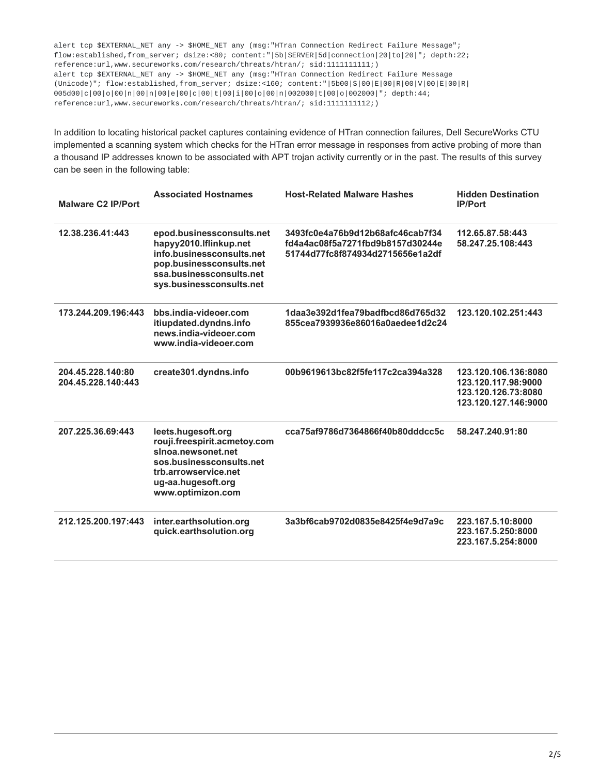alert tcp \$EXTERNAL\_NET any -> \$HOME\_NET any (msg:"HTran Connection Redirect Failure Message"; flow:established,from\_server; dsize:<80; content:"|5b|SERVER|5d|connection|20|to|20|"; depth:22; reference:url,www.secureworks.com/research/threats/htran/; sid:1111111111;) alert tcp \$EXTERNAL\_NET any -> \$HOME\_NET any (msg:"HTran Connection Redirect Failure Message (Unicode)"; flow:established,from\_server; dsize:<160; content:"|5b00|S|00|E|00|R|00|V|00|E|00|R| 005d00|c|00|o|00|n|00|n|00|e|00|c|00|t|00|i|00|o|00|n|002000|t|00|o|002000|"; depth:44; reference:url,www.secureworks.com/research/threats/htran/; sid:1111111112;)

In addition to locating historical packet captures containing evidence of HTran connection failures, Dell SecureWorks CTU implemented a scanning system which checks for the HTran error message in responses from active probing of more than a thousand IP addresses known to be associated with APT trojan activity currently or in the past. The results of this survey can be seen in the following table:

| <b>Malware C2 IP/Port</b>               | <b>Associated Hostnames</b>                                                                                                                                             | <b>Host-Related Malware Hashes</b>                                                                       | <b>Hidden Destination</b><br><b>IP/Port</b>                                                |
|-----------------------------------------|-------------------------------------------------------------------------------------------------------------------------------------------------------------------------|----------------------------------------------------------------------------------------------------------|--------------------------------------------------------------------------------------------|
| 12.38.236.41:443                        | epod.businessconsults.net<br>hapyy2010.Iflinkup.net<br>info.businessconsults.net<br>pop.businessconsults.net<br>ssa.businessconsults.net<br>sys.businessconsults.net    | 3493fc0e4a76b9d12b68afc46cab7f34<br>fd4a4ac08f5a7271fbd9b8157d30244e<br>51744d77fc8f874934d2715656e1a2df | 112.65.87.58:443<br>58.247.25.108:443                                                      |
| 173.244.209.196:443                     | bbs.india-videoer.com<br>itiupdated.dyndns.info<br>news.india-videoer.com<br>www.india-videoer.com                                                                      | 1daa3e392d1fea79badfbcd86d765d32<br>855cea7939936e86016a0aedee1d2c24                                     | 123.120.102.251:443                                                                        |
| 204.45.228.140:80<br>204.45.228.140:443 | create301.dyndns.info                                                                                                                                                   | 00b9619613bc82f5fe117c2ca394a328                                                                         | 123.120.106.136:8080<br>123.120.117.98:9000<br>123.120.126.73:8080<br>123.120.127.146:9000 |
| 207.225.36.69:443                       | leets.hugesoft.org<br>rouji.freespirit.acmetoy.com<br>sinoa.newsonet.net<br>sos.businessconsults.net<br>trb.arrowservice.net<br>ug-aa.hugesoft.org<br>www.optimizon.com | cca75af9786d7364866f40b80dddcc5c                                                                         | 58.247.240.91:80                                                                           |
| 212.125.200.197:443                     | inter.earthsolution.org<br>quick.earthsolution.org                                                                                                                      | 3a3bf6cab9702d0835e8425f4e9d7a9c                                                                         | 223.167.5.10:8000<br>223.167.5.250:8000<br>223.167.5.254:8000                              |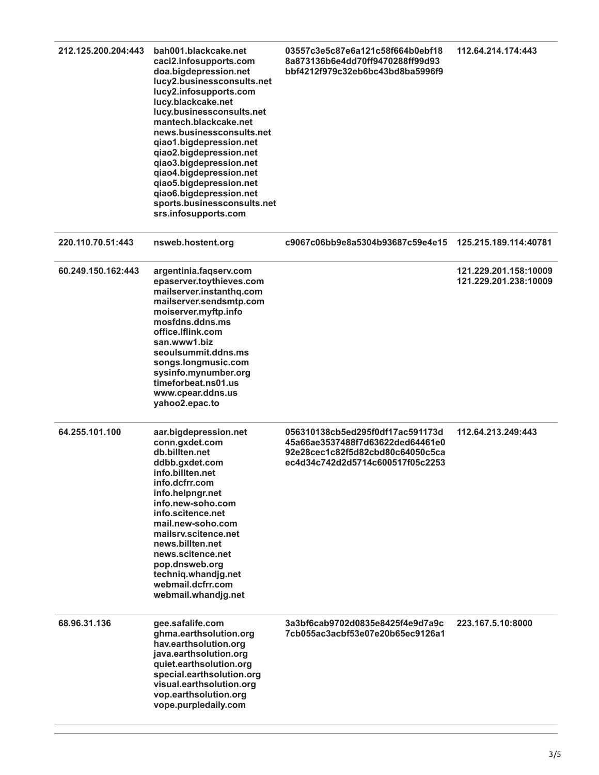| 212.125.200.204:443 | bah001.blackcake.net<br>caci2.infosupports.com<br>doa.bigdepression.net<br>lucy2.businessconsults.net<br>lucy2.infosupports.com<br>lucy.blackcake.net<br>lucy.businessconsults.net<br>mantech.blackcake.net<br>news.businessconsults.net<br>qiao1.bigdepression.net<br>qiao2.bigdepression.net<br>qiao3.bigdepression.net<br>qiao4.bigdepression.net<br>qiao5.bigdepression.net<br>qiao6.bigdepression.net<br>sports.businessconsults.net<br>srs.infosupports.com | 03557c3e5c87e6a121c58f664b0ebf18<br>8a873136b6e4dd70ff9470288ff99d93<br>bbf4212f979c32eb6bc43bd8ba5996f9                                     | 112.64.214.174:443                             |
|---------------------|-------------------------------------------------------------------------------------------------------------------------------------------------------------------------------------------------------------------------------------------------------------------------------------------------------------------------------------------------------------------------------------------------------------------------------------------------------------------|----------------------------------------------------------------------------------------------------------------------------------------------|------------------------------------------------|
| 220.110.70.51:443   | nsweb.hostent.org                                                                                                                                                                                                                                                                                                                                                                                                                                                 | c9067c06bb9e8a5304b93687c59e4e15                                                                                                             | 125.215.189.114:40781                          |
| 60.249.150.162:443  | argentinia.faqserv.com<br>epaserver.toythieves.com<br>mailserver.instanthq.com<br>mailserver.sendsmtp.com<br>moiserver.myftp.info<br>mosfdns.ddns.ms<br>office.Iflink.com<br>san.www1.biz<br>seoulsummit.ddns.ms<br>songs.longmusic.com<br>sysinfo.mynumber.org<br>timeforbeat.ns01.us<br>www.cpear.ddns.us<br>yahoo2.epac.to                                                                                                                                     |                                                                                                                                              | 121.229.201.158:10009<br>121.229.201.238:10009 |
| 64.255.101.100      | aar.bigdepression.net<br>conn.gxdet.com<br>db.billten.net<br>ddbb.gxdet.com<br>info.billten.net<br>info.dcfrr.com<br>info.helpngr.net<br>info.new-soho.com<br>info.scitence.net<br>mail.new-soho.com<br>mailsrv.scitence.net<br>news.billten.net<br>news.scitence.net<br>pop.dnsweb.org<br>techniq.whandjg.net<br>webmail.dcfrr.com<br>webmail.whandjq.net                                                                                                        | 056310138cb5ed295f0df17ac591173d<br>45a66ae3537488f7d63622ded64461e0<br>92e28cec1c82f5d82cbd80c64050c5ca<br>ec4d34c742d2d5714c600517f05c2253 | 112.64.213.249:443                             |
| 68.96.31.136        | gee.safalife.com<br>ghma.earthsolution.org<br>hav.earthsolution.org<br>java.earthsolution.org<br>quiet.earthsolution.org<br>special.earthsolution.org<br>visual.earthsolution.org<br>vop.earthsolution.org<br>vope.purpledaily.com                                                                                                                                                                                                                                | 3a3bf6cab9702d0835e8425f4e9d7a9c<br>7cb055ac3acbf53e07e20b65ec9126a1                                                                         | 223.167.5.10:8000                              |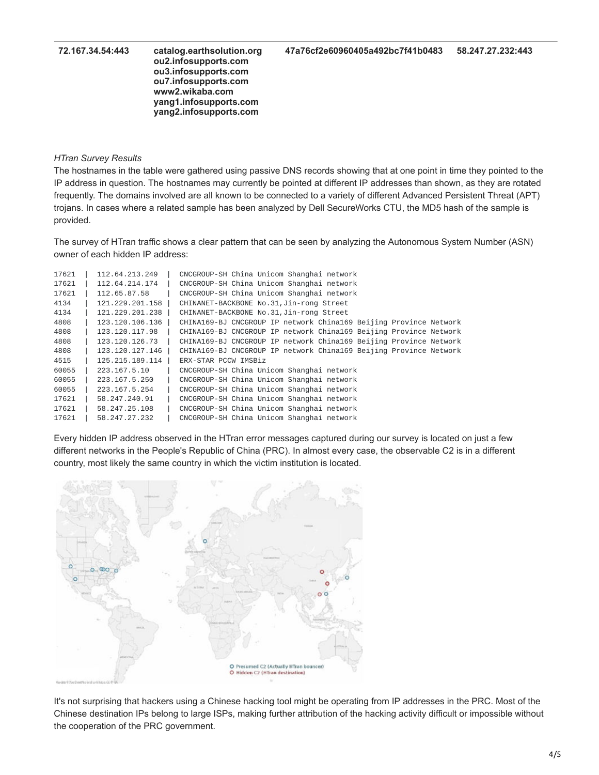**72.167.34.54:443 catalog.earthsolution.org** 

**ou2.infosupports.com ou3.infosupports.com ou7.infosupports.com www2.wikaba.com yang1.infosupports.com yang2.infosupports.com**

## *HTran Survey Results*

The hostnames in the table were gathered using passive DNS records showing that at one point in time they pointed to the IP address in question. The hostnames may currently be pointed at different IP addresses than shown, as they are rotated frequently. The domains involved are all known to be connected to a variety of different Advanced Persistent Threat (APT) trojans. In cases where a related sample has been analyzed by Dell SecureWorks CTU, the MD5 hash of the sample is provided.

The survey of HTran traffic shows a clear pattern that can be seen by analyzing the Autonomous System Number (ASN) owner of each hidden IP address:

| 17621 | 112.64.213.249     | CNCGROUP-SH China Unicom Shanghai network                         |
|-------|--------------------|-------------------------------------------------------------------|
| 17621 | 112.64.214.174     | CNCGROUP-SH China Unicom Shanghai network                         |
| 17621 | 112.65.87.58       | CNCGROUP-SH China Unicom Shanghai network                         |
| 4134  | 121, 229, 201, 158 | CHINANET-BACKBONE No.31, Jin-rong Street                          |
| 4134  | 121.229.201.238    | CHINANET-BACKBONE No.31, Jin-rong Street                          |
| 4808  | 123.120.106.136    | CHINA169-BJ CNCGROUP IP network China169 Beijing Province Network |
| 4808  | 123.120.117.98     | CHINA169-BJ CNCGROUP IP network China169 Beijing Province Network |
| 4808  | 123.120.126.73     | CHINA169-BJ CNCGROUP IP network China169 Beijing Province Network |
| 4808  | 123.120.127.146    | CHINA169-BJ CNCGROUP IP network China169 Beijing Province Network |
| 4515  | 125.215.189.114    | ERX-STAR PCCW IMSBiz                                              |
| 60055 | 223.167.5.10       | CNCGROUP-SH China Unicom Shanghai network                         |
| 60055 | 223.167.5.250      | CNCGROUP-SH China Unicom Shanghai network                         |
| 60055 | 223.167.5.254      | CNCGROUP-SH China Unicom Shanghai network                         |
| 17621 | 58.247.240.91      | CNCGROUP-SH China Unicom Shanghai network                         |
| 17621 | 58.247.25.108      | CNCGROUP-SH China Unicom Shanghai network                         |
| 17621 | 58.247.27.232      | CNCGROUP-SH China Unicom Shanghai network                         |

Every hidden IP address observed in the HTran error messages captured during our survey is located on just a few different networks in the People's Republic of China (PRC). In almost every case, the observable C2 is in a different country, most likely the same country in which the victim institution is located.



It's not surprising that hackers using a Chinese hacking tool might be operating from IP addresses in the PRC. Most of the Chinese destination IPs belong to large ISPs, making further attribution of the hacking activity difficult or impossible without the cooperation of the PRC government.